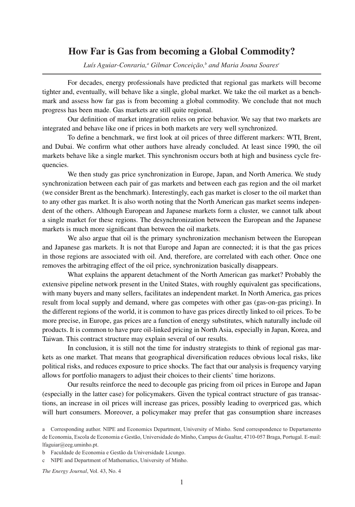## **How Far is Gas from becoming a Global Commodity?**

 $L$ uís Aguiar-Conraria,<sup>a</sup> Gilmar Conceição, $^b$  and Maria Joana Soares<sup>c</sup>

For decades, energy professionals have predicted that regional gas markets will become tighter and, eventually, will behave like a single, global market. We take the oil market as a benchmark and assess how far gas is from becoming a global commodity. We conclude that not much progress has been made. Gas markets are still quite regional.

Our definition of market integration relies on price behavior. We say that two markets are integrated and behave like one if prices in both markets are very well synchronized.

To define a benchmark, we first look at oil prices of three different markers: WTI, Brent, and Dubai. We confirm what other authors have already concluded. At least since 1990, the oil markets behave like a single market. This synchronism occurs both at high and business cycle frequencies.

We then study gas price synchronization in Europe, Japan, and North America. We study synchronization between each pair of gas markets and between each gas region and the oil market (we consider Brent as the benchmark). Interestingly, each gas market is closer to the oil market than to any other gas market. It is also worth noting that the North American gas market seems independent of the others. Although European and Japanese markets form a cluster, we cannot talk about a single market for these regions. The desynchronization between the European and the Japanese markets is much more significant than between the oil markets.

We also argue that oil is the primary synchronization mechanism between the European and Japanese gas markets. It is not that Europe and Japan are connected; it is that the gas prices in those regions are associated with oil. And, therefore, are correlated with each other. Once one removes the arbitraging effect of the oil price, synchronization basically disappears.

What explains the apparent detachment of the North American gas market? Probably the extensive pipeline network present in the United States, with roughly equivalent gas specifications, with many buyers and many sellers, facilitates an independent market. In North America, gas prices result from local supply and demand, where gas competes with other gas (gas-on-gas pricing). In the different regions of the world, it is common to have gas prices directly linked to oil prices. To be more precise, in Europe, gas prices are a function of energy substitutes, which naturally include oil products. It is common to have pure oil-linked pricing in North Asia, especially in Japan, Korea, and Taiwan. This contract structure may explain several of our results.

In conclusion, it is still not the time for industry strategists to think of regional gas markets as one market. That means that geographical diversification reduces obvious local risks, like political risks, and reduces exposure to price shocks. The fact that our analysis is frequency varying allows for portfolio managers to adjust their choices to their clients' time horizons.

Our results reinforce the need to decouple gas pricing from oil prices in Europe and Japan (especially in the latter case) for policymakers. Given the typical contract structure of gas transactions, an increase in oil prices will increase gas prices, possibly leading to overpriced gas, which will hurt consumers. Moreover, a policymaker may prefer that gas consumption share increases

c NIPE and Department of Mathematics, University of Minho.

*The Energy Journal*, Vol. 43, No. 4

a Corresponding author. NIPE and Economics Department, University of Minho. Send correspondence to Departamento de Economia, Escola de Economia e Gestão, Universidade do Minho, Campus de Gualtar, 4710-057 Braga, Portugal. E-mail: lfaguiar@eeg.uminho.pt.

b Faculdade de Economia e Gestão da Universidade Licungo.